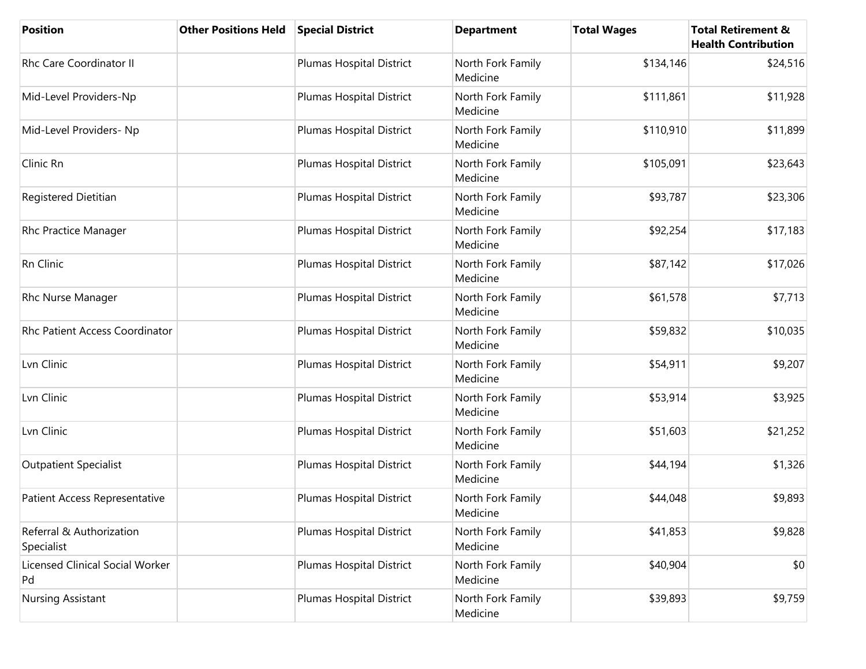| <b>Position</b>                              | <b>Other Positions Held</b> | <b>Special District</b>  | <b>Department</b>             | <b>Total Wages</b> | <b>Total Retirement &amp;</b><br><b>Health Contribution</b> |
|----------------------------------------------|-----------------------------|--------------------------|-------------------------------|--------------------|-------------------------------------------------------------|
| Rhc Care Coordinator II                      |                             | Plumas Hospital District | North Fork Family<br>Medicine | \$134,146          | \$24,516                                                    |
| Mid-Level Providers-Np                       |                             | Plumas Hospital District | North Fork Family<br>Medicine | \$111,861          | \$11,928                                                    |
| Mid-Level Providers- Np                      |                             | Plumas Hospital District | North Fork Family<br>Medicine | \$110,910          | \$11,899                                                    |
| Clinic Rn                                    |                             | Plumas Hospital District | North Fork Family<br>Medicine | \$105,091          | \$23,643                                                    |
| Registered Dietitian                         |                             | Plumas Hospital District | North Fork Family<br>Medicine | \$93,787           | \$23,306                                                    |
| Rhc Practice Manager                         |                             | Plumas Hospital District | North Fork Family<br>Medicine | \$92,254           | \$17,183                                                    |
| Rn Clinic                                    |                             | Plumas Hospital District | North Fork Family<br>Medicine | \$87,142           | \$17,026                                                    |
| Rhc Nurse Manager                            |                             | Plumas Hospital District | North Fork Family<br>Medicine | \$61,578           | \$7,713                                                     |
| Rhc Patient Access Coordinator               |                             | Plumas Hospital District | North Fork Family<br>Medicine | \$59,832           | \$10,035                                                    |
| Lvn Clinic                                   |                             | Plumas Hospital District | North Fork Family<br>Medicine | \$54,911           | \$9,207                                                     |
| Lvn Clinic                                   |                             | Plumas Hospital District | North Fork Family<br>Medicine | \$53,914           | \$3,925                                                     |
| Lvn Clinic                                   |                             | Plumas Hospital District | North Fork Family<br>Medicine | \$51,603           | \$21,252                                                    |
| <b>Outpatient Specialist</b>                 |                             | Plumas Hospital District | North Fork Family<br>Medicine | \$44,194           | \$1,326                                                     |
| Patient Access Representative                |                             | Plumas Hospital District | North Fork Family<br>Medicine | \$44,048           | \$9,893                                                     |
| Referral & Authorization<br>Specialist       |                             | Plumas Hospital District | North Fork Family<br>Medicine | \$41,853           | \$9,828                                                     |
| <b>Licensed Clinical Social Worker</b><br>Pd |                             | Plumas Hospital District | North Fork Family<br>Medicine | \$40,904           | \$0                                                         |
| Nursing Assistant                            |                             | Plumas Hospital District | North Fork Family<br>Medicine | \$39,893           | \$9,759                                                     |